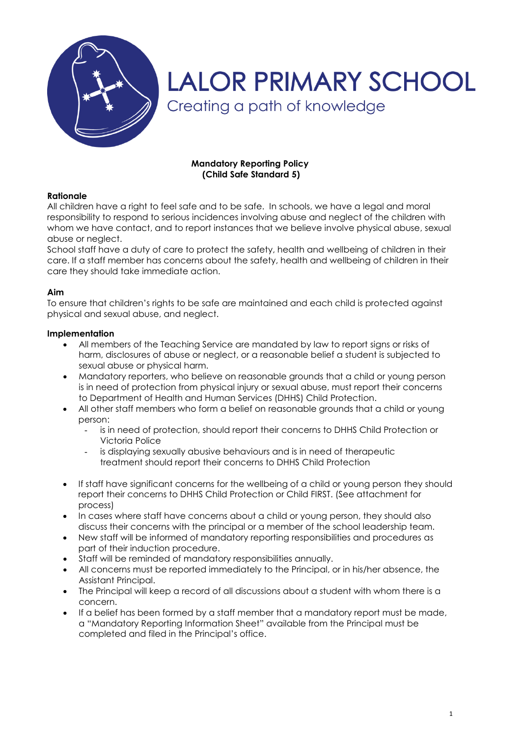

# **LALOR PRIMARY SCHOOL** Creating a path of knowledge

# **Mandatory Reporting Policy (Child Safe Standard 5)**

# **Rationale**

All children have a right to feel safe and to be safe. In schools, we have a legal and moral responsibility to respond to serious incidences involving abuse and neglect of the children with whom we have contact, and to report instances that we believe involve physical abuse, sexual abuse or neglect.

School staff have a duty of care to protect the safety, health and wellbeing of children in their care. If a staff member has concerns about the safety, health and wellbeing of children in their care they should take immediate action.

#### **Aim**

To ensure that children's rights to be safe are maintained and each child is protected against physical and sexual abuse, and neglect.

#### **Implementation**

- All members of the Teaching Service are mandated by law to report signs or risks of harm, disclosures of abuse or neglect, or a reasonable belief a student is subjected to sexual abuse or physical harm.
- Mandatory reporters, who believe on reasonable grounds that a child or young person is in need of protection from physical injury or sexual abuse, must report their concerns to Department of Health and Human Services (DHHS) Child Protection.
- All other staff members who form a belief on reasonable grounds that a child or young person:
	- is in need of protection, should report their concerns to DHHS Child Protection or Victoria Police
	- is displaying sexually abusive behaviours and is in need of therapeutic treatment should report their concerns to DHHS Child Protection
- If staff have significant concerns for the wellbeing of a child or young person they should report their concerns to DHHS Child Protection or Child FIRST. (See attachment for process)
- In cases where staff have concerns about a child or young person, they should also discuss their concerns with the principal or a member of the school leadership team.
- New staff will be informed of mandatory reporting responsibilities and procedures as part of their induction procedure.
- Staff will be reminded of mandatory responsibilities annually.
- All concerns must be reported immediately to the Principal, or in his/her absence, the Assistant Principal.
- The Principal will keep a record of all discussions about a student with whom there is a concern.
- If a belief has been formed by a staff member that a mandatory report must be made, a "Mandatory Reporting Information Sheet" available from the Principal must be completed and filed in the Principal's office.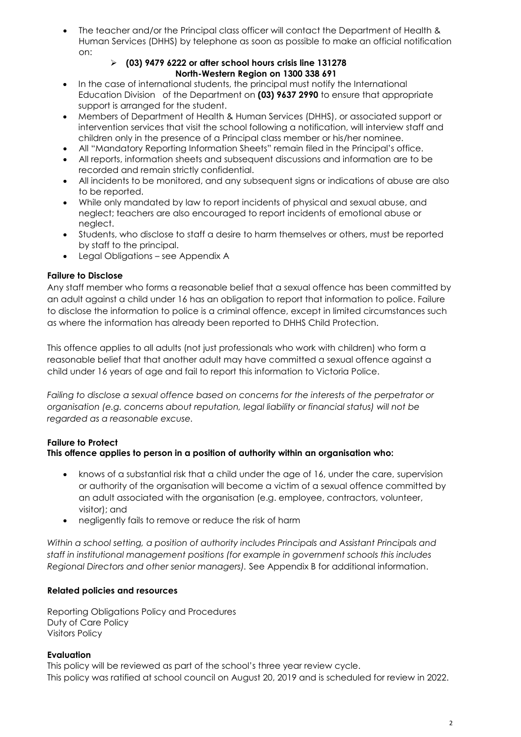The teacher and/or the Principal class officer will contact the Department of Health & Human Services (DHHS) by telephone as soon as possible to make an official notification on:

# **(03) 9479 6222 or after school hours crisis line 131278 North-Western Region on 1300 338 691**

- In the case of international students, the principal must notify the International Education Division of the Department on **(03) 9637 2990** to ensure that appropriate support is arranged for the student.
- Members of Department of Health & Human Services (DHHS), or associated support or intervention services that visit the school following a notification, will interview staff and children only in the presence of a Principal class member or his/her nominee.
- All "Mandatory Reporting Information Sheets" remain filed in the Principal's office.
- All reports, information sheets and subsequent discussions and information are to be recorded and remain strictly confidential.
- All incidents to be monitored, and any subsequent signs or indications of abuse are also to be reported.
- While only mandated by law to report incidents of physical and sexual abuse, and neglect; teachers are also encouraged to report incidents of emotional abuse or neglect.
- Students, who disclose to staff a desire to harm themselves or others, must be reported by staff to the principal.
- Legal Obligations see Appendix A

# **Failure to Disclose**

Any staff member who forms a reasonable belief that a sexual offence has been committed by an adult against a child under 16 has an obligation to report that information to police. Failure to disclose the information to police is a criminal offence, except in limited circumstances such as where the information has already been reported to DHHS Child Protection.

This offence applies to all adults (not just professionals who work with children) who form a reasonable belief that that another adult may have committed a sexual offence against a child under 16 years of age and fail to report this information to Victoria Police.

*Failing to disclose a sexual offence based on concerns for the interests of the perpetrator or organisation (e.g. concerns about reputation, legal liability or financial status) will not be regarded as a reasonable excuse.*

# **Failure to Protect**

# **This offence applies to person in a position of authority within an organisation who:**

- knows of a substantial risk that a child under the age of 16, under the care, supervision or authority of the organisation will become a victim of a sexual offence committed by an adult associated with the organisation (e.g. employee, contractors, volunteer, visitor); and
- negligently fails to remove or reduce the risk of harm

*Within a school setting, a position of authority includes Principals and Assistant Principals and staff in institutional management positions (for example in government schools this includes Regional Directors and other senior managers).* See Appendix B for additional information.

# **Related policies and resources**

Reporting Obligations Policy and Procedures Duty of Care Policy Visitors Policy

# **Evaluation**

This policy will be reviewed as part of the school's three year review cycle. This policy was ratified at school council on August 20, 2019 and is scheduled for review in 2022.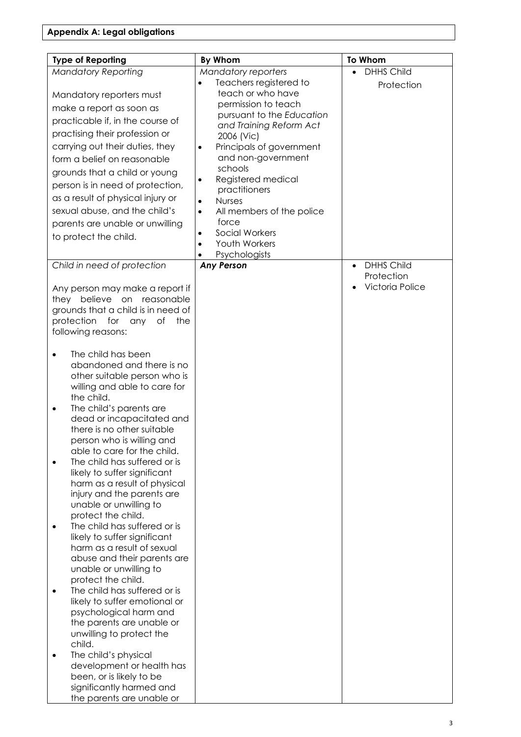| <b>Type of Reporting</b>                                                                                                                                                                                                                                              | By Whom                                                                                                                                                                                                                                       | <b>To Whom</b>                                                  |
|-----------------------------------------------------------------------------------------------------------------------------------------------------------------------------------------------------------------------------------------------------------------------|-----------------------------------------------------------------------------------------------------------------------------------------------------------------------------------------------------------------------------------------------|-----------------------------------------------------------------|
| <b>Mandatory Reporting</b>                                                                                                                                                                                                                                            | <b>Mandatory reporters</b>                                                                                                                                                                                                                    | <b>DHHS Child</b><br>$\bullet$                                  |
| Mandatory reporters must<br>make a report as soon as                                                                                                                                                                                                                  | Teachers registered to<br>teach or who have<br>permission to teach<br>pursuant to the Education                                                                                                                                               | Protection                                                      |
| practicable if, in the course of<br>practising their profession or                                                                                                                                                                                                    | and Training Reform Act<br>2006 (Vic)                                                                                                                                                                                                         |                                                                 |
| carrying out their duties, they<br>form a belief on reasonable<br>grounds that a child or young<br>person is in need of protection,<br>as a result of physical injury or<br>sexual abuse, and the child's<br>parents are unable or unwilling<br>to protect the child. | Principals of government<br>and non-government<br>schools<br>Registered medical<br>practitioners<br><b>Nurses</b><br>$\bullet$<br>All members of the police<br>$\bullet$<br>force<br><b>Social Workers</b><br>٠<br>Youth Workers<br>$\bullet$ |                                                                 |
|                                                                                                                                                                                                                                                                       | Psychologists<br>٠                                                                                                                                                                                                                            |                                                                 |
| Child in need of protection<br>Any person may make a report if<br>they believe on reasonable<br>grounds that a child is in need of<br>protection<br>for any<br>the<br>Оf<br>following reasons:                                                                        | <b>Any Person</b>                                                                                                                                                                                                                             | <b>DHHS Child</b><br>$\bullet$<br>Protection<br>Victoria Police |
| The child has been<br>$\bullet$<br>abandoned and there is no<br>other suitable person who is<br>willing and able to care for<br>the child.<br>The child's parents are<br>$\bullet$<br>dead or incapacitated and<br>there is no other suitable                         |                                                                                                                                                                                                                                               |                                                                 |
| person who is willing and<br>able to care for the child.<br>The child has suffered or is<br>likely to suffer significant<br>harm as a result of physical<br>injury and the parents are<br>unable or unwilling to<br>protect the child.                                |                                                                                                                                                                                                                                               |                                                                 |
| The child has suffered or is<br>likely to suffer significant<br>harm as a result of sexual<br>abuse and their parents are<br>unable or unwilling to<br>protect the child.                                                                                             |                                                                                                                                                                                                                                               |                                                                 |
| The child has suffered or is<br>$\bullet$<br>likely to suffer emotional or<br>psychological harm and<br>the parents are unable or<br>unwilling to protect the<br>child.<br>The child's physical<br>$\bullet$<br>development or health has                             |                                                                                                                                                                                                                                               |                                                                 |
| been, or is likely to be<br>significantly harmed and<br>the parents are unable or                                                                                                                                                                                     |                                                                                                                                                                                                                                               |                                                                 |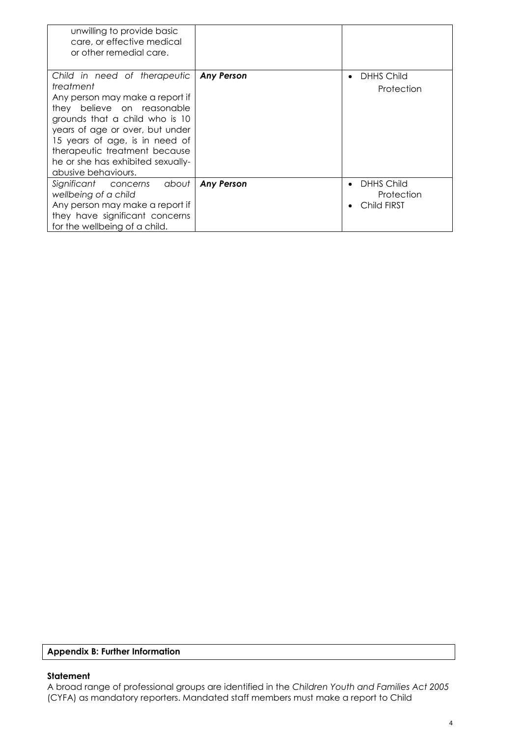| unwilling to provide basic<br>care, or effective medical<br>or other remedial care.                                                                                                                                                                                                                            |                   |                                                |
|----------------------------------------------------------------------------------------------------------------------------------------------------------------------------------------------------------------------------------------------------------------------------------------------------------------|-------------------|------------------------------------------------|
| Child in need of therapeutic<br>treatment<br>Any person may make a report if<br>they believe on reasonable<br>grounds that a child who is 10<br>years of age or over, but under<br>15 years of age, is in need of<br>therapeutic treatment because<br>he or she has exhibited sexually-<br>abusive behaviours. | <b>Any Person</b> | <b>DHHS Child</b><br>Protection                |
| Significant concerns<br>about<br>wellbeing of a child<br>Any person may make a report if<br>they have significant concerns<br>for the wellbeing of a child.                                                                                                                                                    | <b>Any Person</b> | <b>DHHS Child</b><br>Protection<br>Child FIRST |

#### **Appendix B: Further Information**

#### **Statement**

A broad range of professional groups are identified in the *Children Youth and Families Act 2005* (CYFA) as mandatory reporters. Mandated staff members must make a report to Child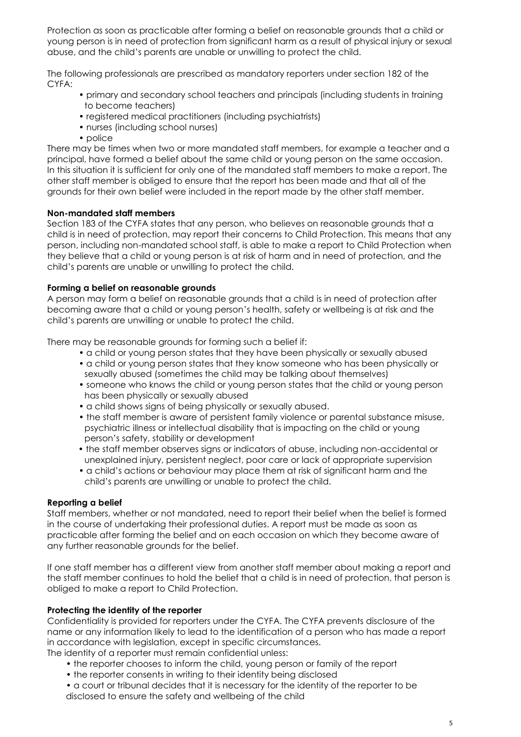Protection as soon as practicable after forming a belief on reasonable grounds that a child or young person is in need of protection from significant harm as a result of physical injury or sexual abuse, and the child's parents are unable or unwilling to protect the child.

The following professionals are prescribed as mandatory reporters under section 182 of the CYFA:

- primary and secondary school teachers and principals (including students in training to become teachers)
- registered medical practitioners (including psychiatrists)
- nurses (including school nurses)
- police

There may be times when two or more mandated staff members, for example a teacher and a principal, have formed a belief about the same child or young person on the same occasion. In this situation it is sufficient for only one of the mandated staff members to make a report. The other staff member is obliged to ensure that the report has been made and that all of the grounds for their own belief were included in the report made by the other staff member.

# **Non-mandated staff members**

Section 183 of the CYFA states that any person, who believes on reasonable grounds that a child is in need of protection, may report their concerns to Child Protection. This means that any person, including non-mandated school staff, is able to make a report to Child Protection when they believe that a child or young person is at risk of harm and in need of protection, and the child's parents are unable or unwilling to protect the child.

#### **Forming a belief on reasonable grounds**

A person may form a belief on reasonable grounds that a child is in need of protection after becoming aware that a child or young person's health, safety or wellbeing is at risk and the child's parents are unwilling or unable to protect the child.

There may be reasonable grounds for forming such a belief if:

- a child or young person states that they have been physically or sexually abused
- a child or young person states that they know someone who has been physically or sexually abused (sometimes the child may be talking about themselves)
- someone who knows the child or young person states that the child or young person has been physically or sexually abused
- a child shows signs of being physically or sexually abused.
- the staff member is aware of persistent family violence or parental substance misuse, psychiatric illness or intellectual disability that is impacting on the child or young person's safety, stability or development
- the staff member observes signs or indicators of abuse, including non-accidental or unexplained injury, persistent neglect, poor care or lack of appropriate supervision
- a child's actions or behaviour may place them at risk of significant harm and the child's parents are unwilling or unable to protect the child.

# **Reporting a belief**

Staff members, whether or not mandated, need to report their belief when the belief is formed in the course of undertaking their professional duties. A report must be made as soon as practicable after forming the belief and on each occasion on which they become aware of any further reasonable grounds for the belief.

If one staff member has a different view from another staff member about making a report and the staff member continues to hold the belief that a child is in need of protection, that person is obliged to make a report to Child Protection.

# **Protecting the identity of the reporter**

Confidentiality is provided for reporters under the CYFA. The CYFA prevents disclosure of the name or any information likely to lead to the identification of a person who has made a report in accordance with legislation, except in specific circumstances. The identity of a reporter must remain confidential unless:

- the reporter chooses to inform the child, young person or family of the report
- the reporter consents in writing to their identity being disclosed

• a court or tribunal decides that it is necessary for the identity of the reporter to be disclosed to ensure the safety and wellbeing of the child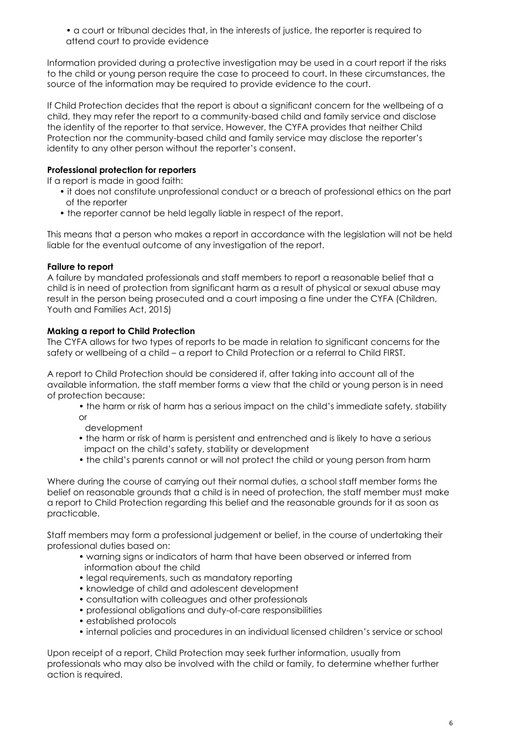• a court or tribunal decides that, in the interests of justice, the reporter is required to attend court to provide evidence

Information provided during a protective investigation may be used in a court report if the risks to the child or young person require the case to proceed to court. In these circumstances, the source of the information may be required to provide evidence to the court.

If Child Protection decides that the report is about a significant concern for the wellbeing of a child, they may refer the report to a community-based child and family service and disclose the identity of the reporter to that service. However, the CYFA provides that neither Child Protection nor the community-based child and family service may disclose the reporter's identity to any other person without the reporter's consent.

# **Professional protection for reporters**

If a report is made in good faith:

- it does not constitute unprofessional conduct or a breach of professional ethics on the part of the reporter
- the reporter cannot be held legally liable in respect of the report.

This means that a person who makes a report in accordance with the legislation will not be held liable for the eventual outcome of any investigation of the report.

# **Failure to report**

A failure by mandated professionals and staff members to report a reasonable belief that a child is in need of protection from significant harm as a result of physical or sexual abuse may result in the person being prosecuted and a court imposing a fine under the CYFA (Children, Youth and Families Act, 2015)

# **Making a report to Child Protection**

The CYFA allows for two types of reports to be made in relation to significant concerns for the safety or wellbeing of a child – a report to Child Protection or a referral to Child FIRST.

A report to Child Protection should be considered if, after taking into account all of the available information, the staff member forms a view that the child or young person is in need of protection because:

- the harm or risk of harm has a serious impact on the child's immediate safety, stability or
- development
- the harm or risk of harm is persistent and entrenched and is likely to have a serious impact on the child's safety, stability or development
- the child's parents cannot or will not protect the child or young person from harm

Where during the course of carrying out their normal duties, a school staff member forms the belief on reasonable grounds that a child is in need of protection, the staff member must make a report to Child Protection regarding this belief and the reasonable grounds for it as soon as practicable.

Staff members may form a professional judgement or belief, in the course of undertaking their professional duties based on:

- warning signs or indicators of harm that have been observed or inferred from information about the child
- legal requirements, such as mandatory reporting
- knowledge of child and adolescent development
- consultation with colleagues and other professionals
- professional obligations and duty-of-care responsibilities
- established protocols
- internal policies and procedures in an individual licensed children's service or school

Upon receipt of a report, Child Protection may seek further information, usually from professionals who may also be involved with the child or family, to determine whether further action is required.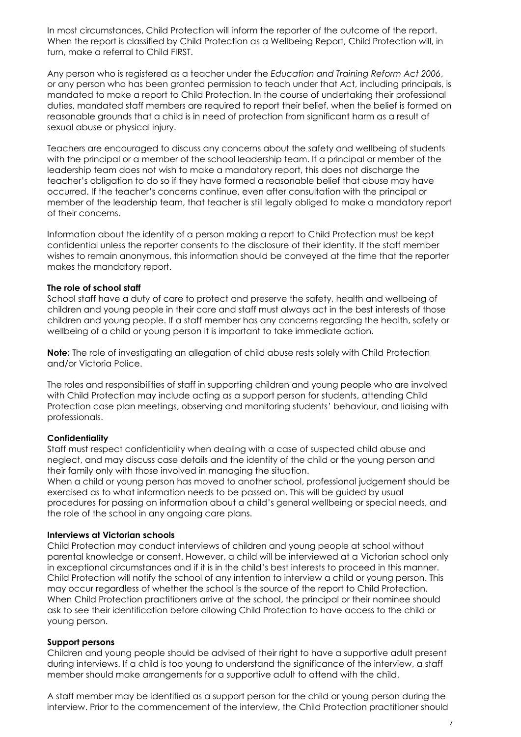In most circumstances, Child Protection will inform the reporter of the outcome of the report. When the report is classified by Child Protection as a Wellbeing Report, Child Protection will, in turn, make a referral to Child FIRST.

Any person who is registered as a teacher under the *Education and Training Reform Act 2006*, or any person who has been granted permission to teach under that Act, including principals, is mandated to make a report to Child Protection. In the course of undertaking their professional duties, mandated staff members are required to report their belief, when the belief is formed on reasonable grounds that a child is in need of protection from significant harm as a result of sexual abuse or physical injury.

Teachers are encouraged to discuss any concerns about the safety and wellbeing of students with the principal or a member of the school leadership team. If a principal or member of the leadership team does not wish to make a mandatory report, this does not discharge the teacher's obligation to do so if they have formed a reasonable belief that abuse may have occurred. If the teacher's concerns continue, even after consultation with the principal or member of the leadership team, that teacher is still legally obliged to make a mandatory report of their concerns.

Information about the identity of a person making a report to Child Protection must be kept confidential unless the reporter consents to the disclosure of their identity. If the staff member wishes to remain anonymous, this information should be conveyed at the time that the reporter makes the mandatory report.

#### **The role of school staff**

School staff have a duty of care to protect and preserve the safety, health and wellbeing of children and young people in their care and staff must always act in the best interests of those children and young people. If a staff member has any concerns regarding the health, safety or wellbeing of a child or young person it is important to take immediate action.

**Note:** The role of investigating an allegation of child abuse rests solely with Child Protection and/or Victoria Police.

The roles and responsibilities of staff in supporting children and young people who are involved with Child Protection may include acting as a support person for students, attending Child Protection case plan meetings, observing and monitoring students' behaviour, and liaising with professionals.

#### **Confidentiality**

Staff must respect confidentiality when dealing with a case of suspected child abuse and neglect, and may discuss case details and the identity of the child or the young person and their family only with those involved in managing the situation.

When a child or young person has moved to another school, professional judgement should be exercised as to what information needs to be passed on. This will be guided by usual procedures for passing on information about a child's general wellbeing or special needs, and the role of the school in any ongoing care plans.

#### **Interviews at Victorian schools**

Child Protection may conduct interviews of children and young people at school without parental knowledge or consent. However, a child will be interviewed at a Victorian school only in exceptional circumstances and if it is in the child's best interests to proceed in this manner. Child Protection will notify the school of any intention to interview a child or young person. This may occur regardless of whether the school is the source of the report to Child Protection. When Child Protection practitioners arrive at the school, the principal or their nominee should ask to see their identification before allowing Child Protection to have access to the child or young person.

#### **Support persons**

Children and young people should be advised of their right to have a supportive adult present during interviews. If a child is too young to understand the significance of the interview, a staff member should make arrangements for a supportive adult to attend with the child.

A staff member may be identified as a support person for the child or young person during the interview. Prior to the commencement of the interview, the Child Protection practitioner should